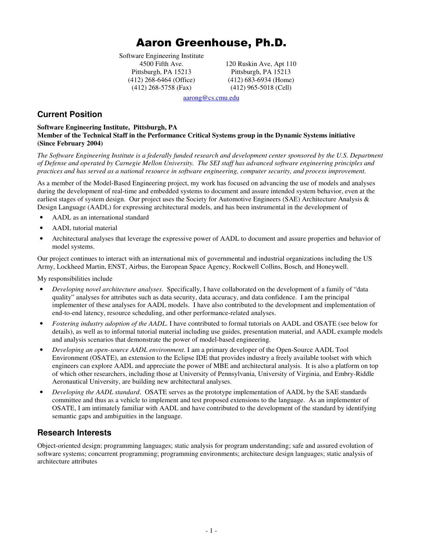# Aaron Greenhouse, Ph.D.

Software Engineering Institute 4500 Fifth Ave. Pittsburgh, PA 15213 (412) 268-6464 (Office) (412) 268-5758 (Fax)

120 Ruskin Ave, Apt 110 Pittsburgh, PA 15213 (412) 683-6934 (Home) (412) 965-5018 (Cell)

aarong@cs.cmu.edu

## **Current Position**

#### **Software Engineering Institute, Pittsburgh, PA Member of the Technical Staff in the Performance Critical Systems group in the Dynamic Systems initiative (Since February 2004)**

*The Software Engineering Institute is a federally funded research and development center sponsored by the U.S. Department of Defense and operated by Carnegie Mellon University. The SEI staff has advanced software engineering principles and practices and has served as a national resource in software engineering, computer security, and process improvement.* 

As a member of the Model-Based Engineering project, my work has focused on advancing the use of models and analyses during the development of real-time and embedded systems to document and assure intended system behavior, even at the earliest stages of system design. Our project uses the Society for Automotive Engineers (SAE) Architecture Analysis & Design Language (AADL) for expressing architectural models, and has been instrumental in the development of

- AADL as an international standard
- AADL tutorial material
- Architectural analyses that leverage the expressive power of AADL to document and assure properties and behavior of model systems.

Our project continues to interact with an international mix of governmental and industrial organizations including the US Army, Lockheed Martin, ENST, Airbus, the European Space Agency, Rockwell Collins, Bosch, and Honeywell.

My responsibilities include

- *Developing novel architecture analyses*. Specifically, I have collaborated on the development of a family of "data quality" analyses for attributes such as data security, data accuracy, and data confidence. I am the principal implementer of these analyses for AADL models. I have also contributed to the development and implementation of end-to-end latency, resource scheduling, and other performance-related analyses.
- *Fostering industry adoption of the AADL*. I have contributed to formal tutorials on AADL and OSATE (see below for details), as well as to informal tutorial material including use guides, presentation material, and AADL example models and analysis scenarios that demonstrate the power of model-based engineering.
- *Developing an open-source AADL environment*. I am a primary developer of the Open-Source AADL Tool Environment (OSATE), an extension to the Eclipse IDE that provides industry a freely available toolset with which engineers can explore AADL and appreciate the power of MBE and architectural analysis. It is also a platform on top of which other researchers, including those at University of Pennsylvania, University of Virginia, and Embry-Riddle Aeronautical University, are building new architectural analyses.
- *Developing the AADL standard*. OSATE serves as the prototype implementation of AADL by the SAE standards committee and thus as a vehicle to implement and test proposed extensions to the language. As an implementer of OSATE, I am intimately familiar with AADL and have contributed to the development of the standard by identifying semantic gaps and ambiguities in the language.

# **Research Interests**

Object-oriented design; programming languages; static analysis for program understanding; safe and assured evolution of software systems; concurrent programming; programming environments; architecture design languages; static analysis of architecture attributes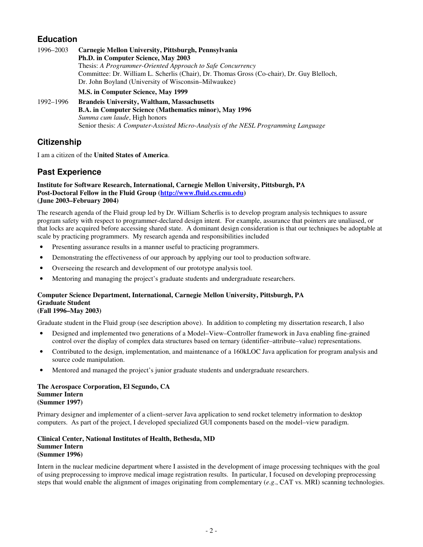# **Education**

| 1996–2003 | Carnegie Mellon University, Pittsburgh, Pennsylvania                                       |
|-----------|--------------------------------------------------------------------------------------------|
|           | Ph.D. in Computer Science, May 2003                                                        |
|           | Thesis: A Programmer-Oriented Approach to Safe Concurrency                                 |
|           | Committee: Dr. William L. Scherlis (Chair), Dr. Thomas Gross (Co-chair), Dr. Guy Blelloch, |
|           | Dr. John Boyland (University of Wisconsin–Milwaukee)                                       |
|           | M.S. in Computer Science, May 1999                                                         |
| 1992–1996 | <b>Brandeis University, Waltham, Massachusetts</b>                                         |
|           | B.A. in Computer Science (Mathematics minor), May 1996                                     |
|           | <i>Summa cum laude</i> , High honors                                                       |
|           | Senior thesis: A Computer-Assisted Micro-Analysis of the NESL Programming Language         |

# **Citizenship**

I am a citizen of the **United States of America**.

# **Past Experience**

### **Institute for Software Research, International, Carnegie Mellon University, Pittsburgh, PA Post-Doctoral Fellow in the Fluid Group (http://www.fluid.cs.cmu.edu) (June 2003–February 2004)**

The research agenda of the Fluid group led by Dr. William Scherlis is to develop program analysis techniques to assure program safety with respect to programmer-declared design intent. For example, assurance that pointers are unaliased, or that locks are acquired before accessing shared state. A dominant design consideration is that our techniques be adoptable at scale by practicing programmers. My research agenda and responsibilities included

- Presenting assurance results in a manner useful to practicing programmers.
- Demonstrating the effectiveness of our approach by applying our tool to production software.
- Overseeing the research and development of our prototype analysis tool.
- Mentoring and managing the project's graduate students and undergraduate researchers.

#### **Computer Science Department, International, Carnegie Mellon University, Pittsburgh, PA Graduate Student (Fall 1996–May 2003)**

Graduate student in the Fluid group (see description above). In addition to completing my dissertation research, I also

- Designed and implemented two generations of a Model–View–Controller framework in Java enabling fine-grained control over the display of complex data structures based on ternary (identifier–attribute–value) representations.
- Contributed to the design, implementation, and maintenance of a 160kLOC Java application for program analysis and source code manipulation.
- Mentored and managed the project's junior graduate students and undergraduate researchers.

#### **The Aerospace Corporation, El Segundo, CA Summer Intern (Summer 1997)**

Primary designer and implementer of a client–server Java application to send rocket telemetry information to desktop computers. As part of the project, I developed specialized GUI components based on the model–view paradigm.

#### **Clinical Center, National Institutes of Health, Bethesda, MD Summer Intern (Summer 1996)**

Intern in the nuclear medicine department where I assisted in the development of image processing techniques with the goal of using preprocessing to improve medical image registration results. In particular, I focused on developing preprocessing steps that would enable the alignment of images originating from complementary (*e*.*g*., CAT vs. MRI) scanning technologies.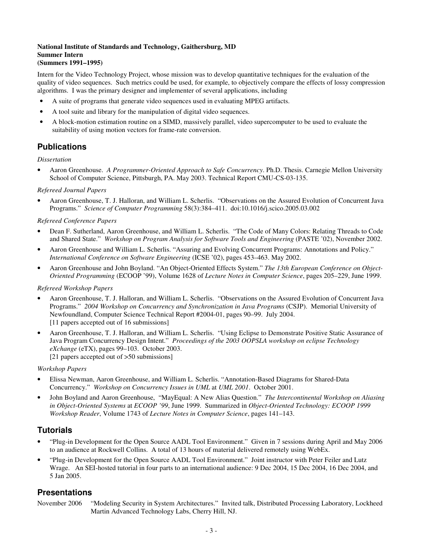#### **National Institute of Standards and Technology, Gaithersburg, MD Summer Intern (Summers 1991–1995)**

Intern for the Video Technology Project, whose mission was to develop quantitative techniques for the evaluation of the quality of video sequences. Such metrics could be used, for example, to objectively compare the effects of lossy compression algorithms. I was the primary designer and implementer of several applications, including

- A suite of programs that generate video sequences used in evaluating MPEG artifacts.
- A tool suite and library for the manipulation of digital video sequences.
- A block-motion estimation routine on a SIMD, massively parallel, video supercomputer to be used to evaluate the suitability of using motion vectors for frame-rate conversion.

# **Publications**

### *Dissertation*

• Aaron Greenhouse. *A Programmer-Oriented Approach to Safe Concurrency*. Ph.D. Thesis. Carnegie Mellon University School of Computer Science, Pittsburgh, PA. May 2003. Technical Report CMU-CS-03-135.

### *Refereed Journal Papers*

• Aaron Greenhouse, T. J. Halloran, and William L. Scherlis. "Observations on the Assured Evolution of Concurrent Java Programs." *Science of Computer Programming* 58(3):384–411. doi:10.1016/j.scico.2005.03.002

### *Refereed Conference Papers*

- Dean F. Sutherland, Aaron Greenhouse, and William L. Scherlis. "The Code of Many Colors: Relating Threads to Code and Shared State." *Workshop on Program Analysis for Software Tools and Engineering* (PASTE '02), November 2002.
- Aaron Greenhouse and William L. Scherlis. "Assuring and Evolving Concurrent Programs: Annotations and Policy." *International Conference on Software Engineering* (ICSE '02), pages 453–463. May 2002.
- Aaron Greenhouse and John Boyland. "An Object-Oriented Effects System." *The 13th European Conference on Object-Oriented Programming* (ECOOP '99), Volume 1628 of *Lecture Notes in Computer Science*, pages 205–229, June 1999.

### *Refereed Workshop Papers*

- Aaron Greenhouse, T. J. Halloran, and William L. Scherlis. "Observations on the Assured Evolution of Concurrent Java Programs." *2004 Workshop on Concurrency and Synchronization in Java Programs* (CSJP). Memorial University of Newfoundland, Computer Science Technical Report #2004-01, pages 90–99. July 2004. [11 papers accepted out of 16 submissions]
- Aaron Greenhouse, T. J. Halloran, and William L. Scherlis. "Using Eclipse to Demonstrate Positive Static Assurance of Java Program Concurrency Design Intent." *Proceedings of the 2003 OOPSLA workshop on eclipse Technology eXchange* (eTX), pages 99–103. October 2003. [21 papers accepted out of >50 submissions]

### *Workshop Papers*

- Elissa Newman, Aaron Greenhouse, and William L. Scherlis. "Annotation-Based Diagrams for Shared-Data Concurrency." *Workshop on Concurrency Issues in UML* at *UML 2001*. October 2001.
- John Boyland and Aaron Greenhouse, "MayEqual: A New Alias Question." *The Intercontinental Workshop on Aliasing in Object-Oriented Systems* at *ECOOP '99*, June 1999. Summarized in *Object-Oriented Technology: ECOOP 1999 Workshop Reader*, Volume 1743 of *Lecture Notes in Computer Science*, pages 141–143.

# **Tutorials**

- "Plug-in Development for the Open Source AADL Tool Environment." Given in 7 sessions during April and May 2006 to an audience at Rockwell Collins. A total of 13 hours of material delivered remotely using WebEx.
- "Plug-in Development for the Open Source AADL Tool Environment." Joint instructor with Peter Feiler and Lutz Wrage. An SEI-hosted tutorial in four parts to an international audience: 9 Dec 2004, 15 Dec 2004, 16 Dec 2004, and 5 Jan 2005.

# **Presentations**

November 2006 "Modeling Security in System Architectures." Invited talk, Distributed Processing Laboratory, Lockheed Martin Advanced Technology Labs, Cherry Hill, NJ.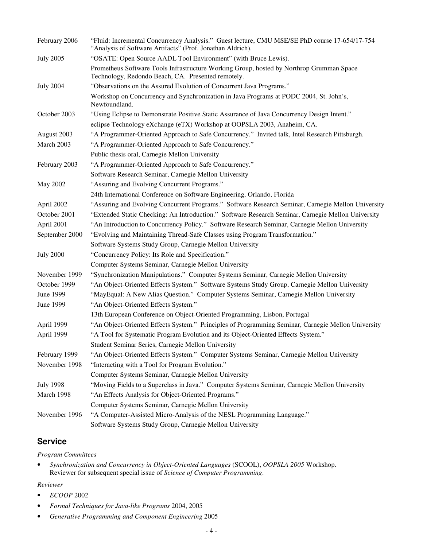| February 2006    | "Fluid: Incremental Concurrency Analysis." Guest lecture, CMU MSE/SE PhD course 17-654/17-754<br>"Analysis of Software Artifacts" (Prof. Jonathan Aldrich). |
|------------------|-------------------------------------------------------------------------------------------------------------------------------------------------------------|
| <b>July 2005</b> | "OSATE: Open Source AADL Tool Environment" (with Bruce Lewis).                                                                                              |
|                  | Prometheus Software Tools Infrastructure Working Group, hosted by Northrop Grumman Space<br>Technology, Redondo Beach, CA. Presented remotely.              |
| <b>July 2004</b> | "Observations on the Assured Evolution of Concurrent Java Programs."                                                                                        |
|                  | Workshop on Concurrency and Synchronization in Java Programs at PODC 2004, St. John's,<br>Newfoundland.                                                     |
| October 2003     | "Using Eclipse to Demonstrate Positive Static Assurance of Java Concurrency Design Intent."                                                                 |
|                  | eclipse Technology eXchange (eTX) Workshop at OOPSLA 2003, Anaheim, CA.                                                                                     |
| August 2003      | "A Programmer-Oriented Approach to Safe Concurrency." Invited talk, Intel Research Pittsburgh.                                                              |
| March 2003       | "A Programmer-Oriented Approach to Safe Concurrency."                                                                                                       |
|                  | Public thesis oral, Carnegie Mellon University                                                                                                              |
| February 2003    | "A Programmer-Oriented Approach to Safe Concurrency."                                                                                                       |
|                  | Software Research Seminar, Carnegie Mellon University                                                                                                       |
| May 2002         | "Assuring and Evolving Concurrent Programs."                                                                                                                |
|                  | 24th International Conference on Software Engineering, Orlando, Florida                                                                                     |
| April 2002       | "Assuring and Evolving Concurrent Programs." Software Research Seminar, Carnegie Mellon University                                                          |
| October 2001     | "Extended Static Checking: An Introduction." Software Research Seminar, Carnegie Mellon University                                                          |
| April 2001       | "An Introduction to Concurrency Policy." Software Research Seminar, Carnegie Mellon University                                                              |
| September 2000   | "Evolving and Maintaining Thread-Safe Classes using Program Transformation."                                                                                |
|                  | Software Systems Study Group, Carnegie Mellon University                                                                                                    |
| <b>July 2000</b> | "Concurrency Policy: Its Role and Specification."                                                                                                           |
|                  | Computer Systems Seminar, Carnegie Mellon University                                                                                                        |
| November 1999    | "Synchronization Manipulations." Computer Systems Seminar, Carnegie Mellon University                                                                       |
| October 1999     | "An Object-Oriented Effects System." Software Systems Study Group, Carnegie Mellon University                                                               |
| June 1999        | "MayEqual: A New Alias Question." Computer Systems Seminar, Carnegie Mellon University                                                                      |
| June 1999        | "An Object-Oriented Effects System."                                                                                                                        |
|                  | 13th European Conference on Object-Oriented Programming, Lisbon, Portugal                                                                                   |
| April 1999       | "An Object-Oriented Effects System." Principles of Programming Seminar, Carnegie Mellon University                                                          |
| April 1999       | "A Tool for Systematic Program Evolution and its Object-Oriented Effects System."                                                                           |
|                  | Student Seminar Series, Carnegie Mellon University                                                                                                          |
| February 1999    | "An Object-Oriented Effects System." Computer Systems Seminar, Carnegie Mellon University                                                                   |
| November 1998    | "Interacting with a Tool for Program Evolution."                                                                                                            |
|                  | Computer Systems Seminar, Carnegie Mellon University                                                                                                        |
| <b>July 1998</b> | "Moving Fields to a Superclass in Java." Computer Systems Seminar, Carnegie Mellon University                                                               |
| March 1998       | "An Effects Analysis for Object-Oriented Programs."                                                                                                         |
|                  | Computer Systems Seminar, Carnegie Mellon University                                                                                                        |
| November 1996    | "A Computer-Assisted Micro-Analysis of the NESL Programming Language."                                                                                      |
|                  | Software Systems Study Group, Carnegie Mellon University                                                                                                    |

# **Service**

*Program Committees* 

• *Synchronization and Concurrency in Object-Oriented Languages* (SCOOL), *OOPSLA 2005* Workshop. Reviewer for subsequent special issue of *Science of Computer Programming*.

### *Reviewer*

- *ECOOP* 2002
- *Formal Techniques for Java-like Programs* 2004, 2005
- *Generative Programming and Component Engineering* 2005